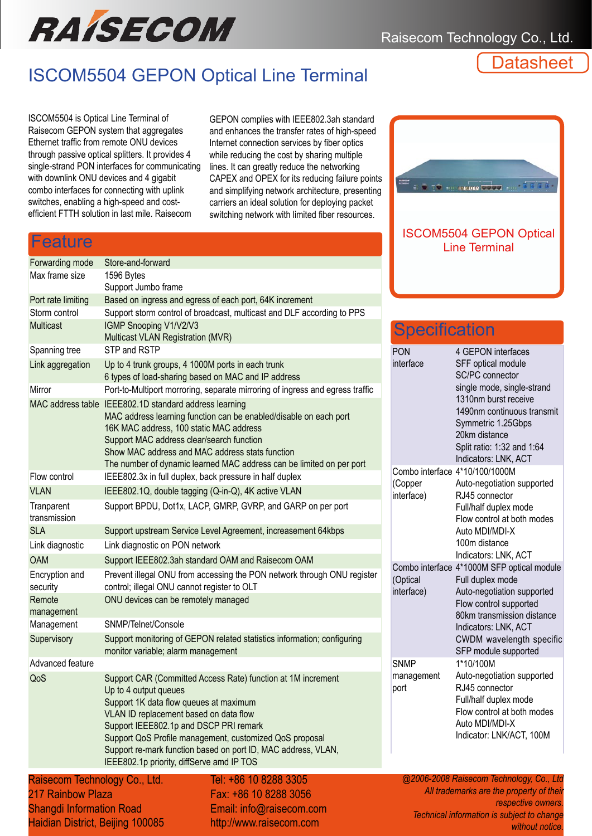

## ISCOM5504 GEPON Optical Line Terminal

**Datasheet** 

ISCOM5504 is Optical Line Terminal of Raisecom GEPON system that aggregates Ethernet traffic from remote ONU devices through passive optical splitters. It provides 4 single-strand PON interfaces for communicating with downlink ONU devices and 4 gigabit combo interfaces for connecting with uplink switches, enabling a high-speed and costefficient FTTH solution in last mile. Raisecom

Feature

GEPON complies with IEEE802.3ah standard and enhances the transfer rates of high-speed Internet connection services by fiber optics while reducing the cost by sharing multiple lines. It can greatly reduce the networking CAPEX and OPEX for its reducing failure points and simplifying network architecture, presenting carriers an ideal solution for deploying packet switching network with limited fiber resources.



#### Forwarding mode Store-and-forward Max frame size 1596 Bytes Support Jumbo frame Port rate limiting Based on ingress and egress of each port, 64K increment Storm control Support storm control of broadcast, multicast and DLF according to PPS Multicast **IGMP** Snooping V1/V2/V3 Multicast VLAN Registration (MVR) Spanning tree STP and RSTP Link aggregation Up to 4 trunk groups, 4 1000M ports in each trunk 6 types of load-sharing based on MAC and IP address Mirror Port-to-Multiport morroring, separate mirroring of ingress and egress traffic MAC address table IEEE802.1D standard address learning MAC address learning function can be enabled/disable on each port 16K MAC address, 100 static MAC address Support MAC address clear/search function Show MAC address and MAC address stats function The number of dynamic learned MAC address can be limited on per port Flow control **IEEE802.3x** in full duplex, back pressure in half duplex VLAN IEEE802.1Q, double tagging (Q-in-Q), 4K active VLAN **Tranparent** transmission Support BPDU, Dot1x, LACP, GMRP, GVRP, and GARP on per port SLA Support upstream Service Level Agreement, increasement 64kbps Link diagnostic Link diagnostic on PON network OAM Support IEEE802.3ah standard OAM and Raisecom OAM Encryption and security Prevent illegal ONU from accessing the PON network through ONU register control; illegal ONU cannot register to OLT Remote management ONU devices can be remotely managed Management SNMP/Telnet/Console Supervisory Support monitoring of GEPON related statistics information; configuring monitor variable; alarm management

Advanced feature QoS Support CAR (Committed Access Rate) function at 1M increment Up to 4 output queues Support 1K data flow queues at maximum VLAN ID replacement based on data flow Support IEEE802.1p and DSCP PRI remark Support QoS Profile management, customized QoS proposal Support re-mark function based on port ID, MAC address, VLAN, IEEE802.1p priority, diffServe amd IP TOS

Raisecom Technology Co., Ltd. 217 Rainbow Plaza Shangdi Information Road Haidian District, Beijing 100085

Tel: +86 10 8288 3305 Fax: +86 10 8288 3056 Email: info@raisecom.com http://www.raisecom.com

# **Specification**

| <b>PON</b><br>interface           | 4 GEPON interfaces<br>SFF optical module<br><b>SC/PC</b> connector<br>single mode, single-strand<br>1310nm burst receive<br>1490nm continuous transmit<br>Symmetric 1.25Gbps<br>20km distance<br>Split ratio: 1:32 and 1:64<br>Indicators: LNK, ACT |
|-----------------------------------|-----------------------------------------------------------------------------------------------------------------------------------------------------------------------------------------------------------------------------------------------------|
| (Copper<br>interface)             | Combo interface 4*10/100/1000M<br>Auto-negotiation supported<br>RJ45 connector<br>Full/half duplex mode<br>Flow control at both modes<br>Auto MDI/MDI-X<br>100m distance<br>Indicators: LNK, ACT                                                    |
| (Optical<br>interface)            | Combo interface 4*1000M SFP optical module<br>Full duplex mode<br>Auto-negotiation supported<br>Flow control supported<br>80km transmission distance<br>Indicators: LNK, ACT<br>CWDM wavelength specific<br>SFP module supported                    |
| <b>SNMP</b><br>management<br>port | 1*10/100M<br>Auto-negotiation supported<br>RJ45 connector<br>Full/half duplex mode<br>Flow control at both modes<br>Auto MDI/MDI-X<br>Indicator: LNK/ACT, 100M                                                                                      |

*@2006-2008 Raisecom Technology, Co., Ltd All trademarks are the property of their respective owners. Technical information is subject to change without notice.*